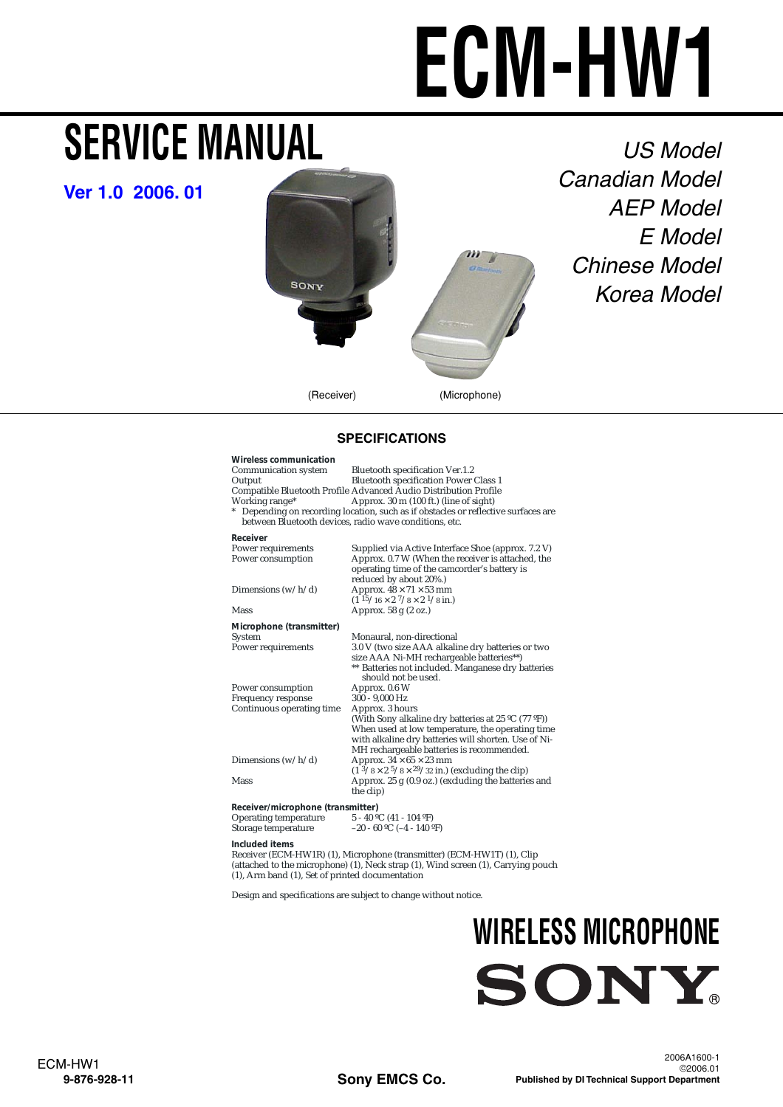# **ECM-HW1**

## <span id="page-0-0"></span>**SERVICE MANUAL**

**[Ver 1.0 2006. 01](#page-3-0)**



US Model Canadian Model AEP Model E Model Chinese Model Korea Model

#### **SPECIFICATIONS**

| <b>Wireless communication</b><br>Communication system<br>Output<br>Working range*<br>$\ast$ | Bluetooth specification Ver.1.2<br><b>Bluetooth specification Power Class 1</b><br>Compatible Bluetooth Profile Advanced Audio Distribution Profile<br>Approx. 30 m (100 ft.) (line of sight)<br>Depending on recording location, such as if obstacles or reflective surfaces are |
|---------------------------------------------------------------------------------------------|-----------------------------------------------------------------------------------------------------------------------------------------------------------------------------------------------------------------------------------------------------------------------------------|
|                                                                                             | between Bluetooth devices, radio wave conditions, etc.                                                                                                                                                                                                                            |
| Receiver                                                                                    |                                                                                                                                                                                                                                                                                   |
| Power requirements<br>Power consumption                                                     | Supplied via Active Interface Shoe (approx. 7.2 V)<br>Approx. 0.7 W (When the receiver is attached, the<br>operating time of the camcorder's battery is<br>reduced by about 20%.)                                                                                                 |
| Dimensions $(w/h/d)$                                                                        | Approx. $48 \times 71 \times 53$ mm<br>$(1\frac{15}{16} \times 2\frac{7}{8} \times 2\frac{1}{8} \text{ in.})$                                                                                                                                                                     |
| Mass                                                                                        | Approx. 58 g (2 oz.)                                                                                                                                                                                                                                                              |
| Microphone (transmitter)                                                                    |                                                                                                                                                                                                                                                                                   |
| System                                                                                      | Monaural, non-directional                                                                                                                                                                                                                                                         |
| Power requirements                                                                          | 3.0 V (two size AAA alkaline dry batteries or two<br>size AAA Ni-MH rechargeable batteries**)<br>** Batteries not included. Manganese dry batteries<br>should not be used.                                                                                                        |
| Power consumption                                                                           | Approx. 0.6 W                                                                                                                                                                                                                                                                     |
| Frequency response                                                                          | 300 - 9,000 Hz                                                                                                                                                                                                                                                                    |
| Continuous operating time                                                                   | Approx. 3 hours<br>(With Sony alkaline dry batteries at 25 °C (77 °F))<br>When used at low temperature, the operating time<br>with alkaline dry batteries will shorten. Use of Ni-<br>MH rechargeable batteries is recommended.                                                   |
| Dimensions $(w/h/d)$                                                                        | Approx. $34 \times 65 \times 23$ mm<br>$(1\frac{3}{8} \times 2\frac{5}{8} \times \frac{29}{32} \text{ in.})$ (excluding the clip)                                                                                                                                                 |
| Mass                                                                                        | Approx. $25 g (0.9 oz.)$ (excluding the batteries and<br>the clip)                                                                                                                                                                                                                |
| Receiver/microphone (transmitter)<br><b>Operating temperature</b><br>Storage temperature    | $5 - 40$ °C (41 - 104 °F)<br>$-20 - 60$ °C ( $-4 - 140$ °F)                                                                                                                                                                                                                       |
| Included items                                                                              |                                                                                                                                                                                                                                                                                   |

Receiver (ECM-HW1R) (1), Microphone (transmitter) (ECM-HW1T) (1), Clip (attached to the microphone) (1), Neck strap (1), Wind screen (1), Carrying pouch (1), Arm band (1), Set of printed documentation

Design and specifications are subject to change without notice.

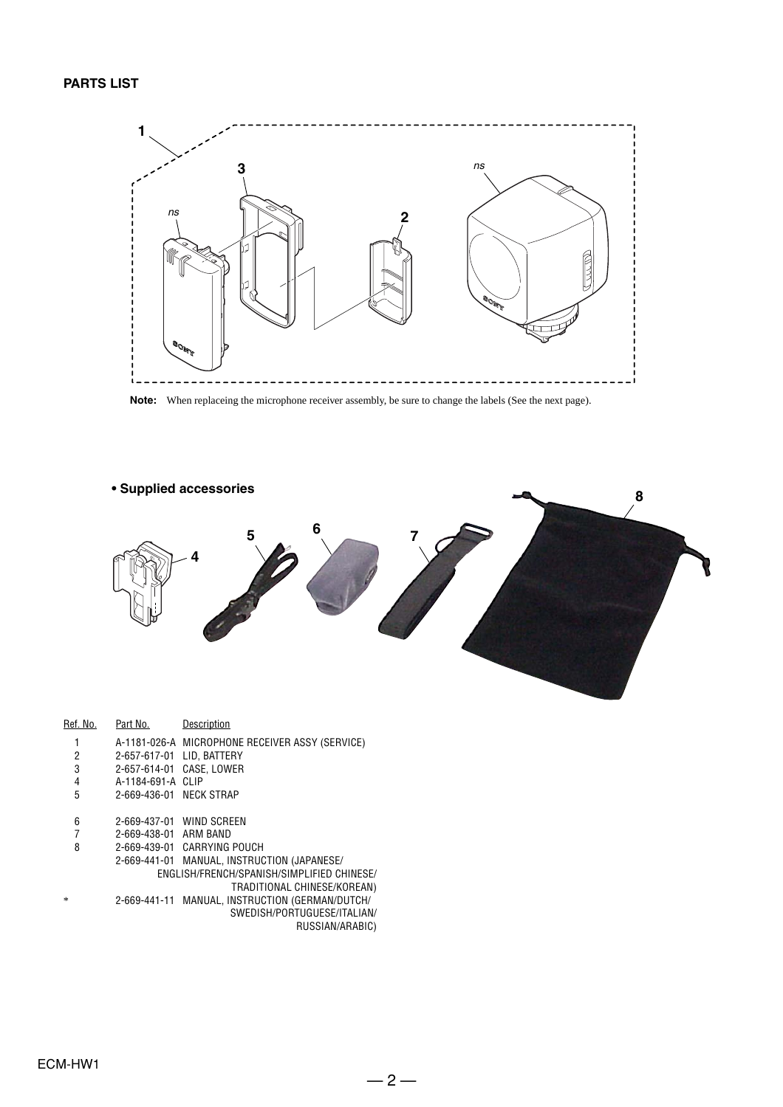#### **PARTS LIST**



Note: When replaceing the microphone receiver assembly, be sure to change the labels (See the next page).



| Ref. No. | Part No.                                   | Description                                     |  |  |
|----------|--------------------------------------------|-------------------------------------------------|--|--|
| 1        |                                            | A-1181-026-A MICROPHONE RECEIVER ASSY (SERVICE) |  |  |
| 2        | 2-657-617-01                               | LID. BATTERY                                    |  |  |
| 3        | 2-657-614-01                               | CASE, LOWER                                     |  |  |
| 4        | A-1184-691-A                               | CLIP                                            |  |  |
| 5        | 2-669-436-01 NECK STRAP                    |                                                 |  |  |
| 6        |                                            | 2-669-437-01 WIND SCREEN                        |  |  |
| 7        | 2-669-438-01 ARM BAND                      |                                                 |  |  |
| 8        |                                            | 2-669-439-01 CARRYING POUCH                     |  |  |
|          | 2-669-441-01                               | MANUAL, INSTRUCTION (JAPANESE/                  |  |  |
|          | ENGLISH/FRENCH/SPANISH/SIMPLIFIED CHINESE/ |                                                 |  |  |
|          |                                            | TRADITIONAL CHINESE/KOREAN)                     |  |  |
| $\ast$   |                                            | 2-669-441-11 MANUAL, INSTRUCTION (GERMAN/DUTCH/ |  |  |
|          |                                            | SWEDISH/PORTUGUESE/ITALIAN/                     |  |  |
|          |                                            | DUCCIANI/AD ADIOV                               |  |  |

RUSSIAN/ARABIC)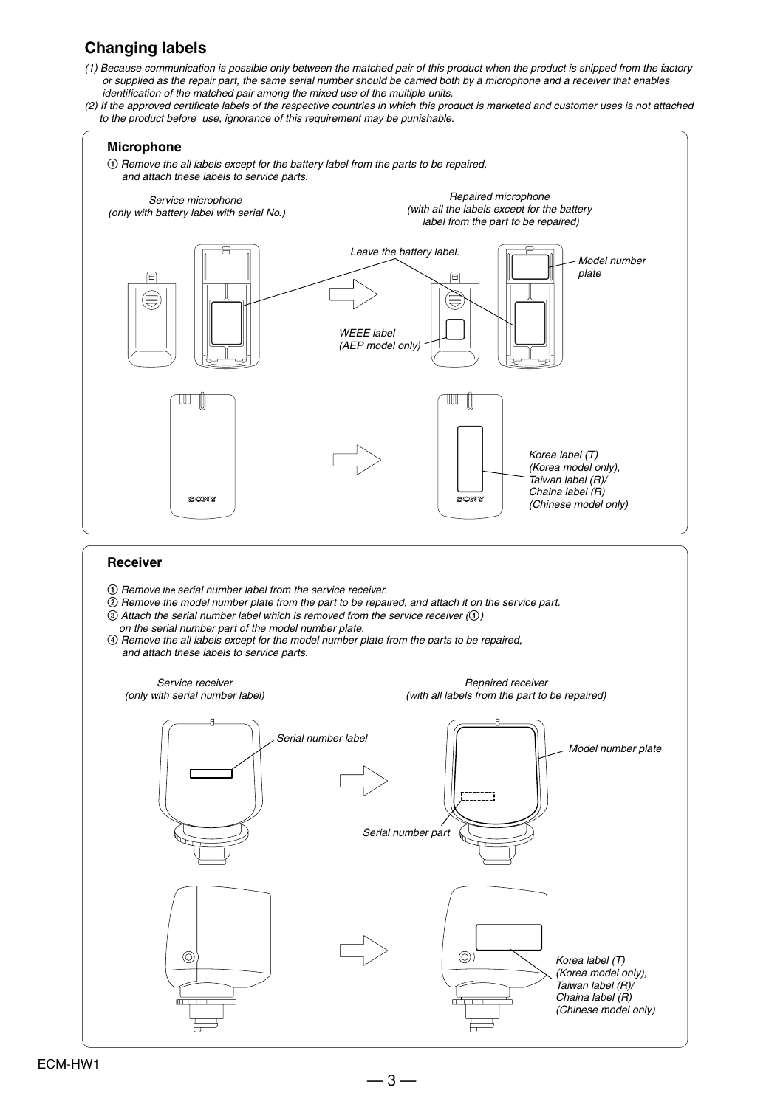#### **Changing labels**

- (1) Because communication is possible only between the matched pair of this product when the product is shipped from the factory or supplied as the repair part, the same serial number should be carried both by a microphone and a receiver that enables identification of the matched pair among the mixed use of the multiple units.
- (2) If the approved certificate labels of the respective countries in which this product is marketed and customer uses is not attached to the product before use, ignorance of this requirement may be punishable.